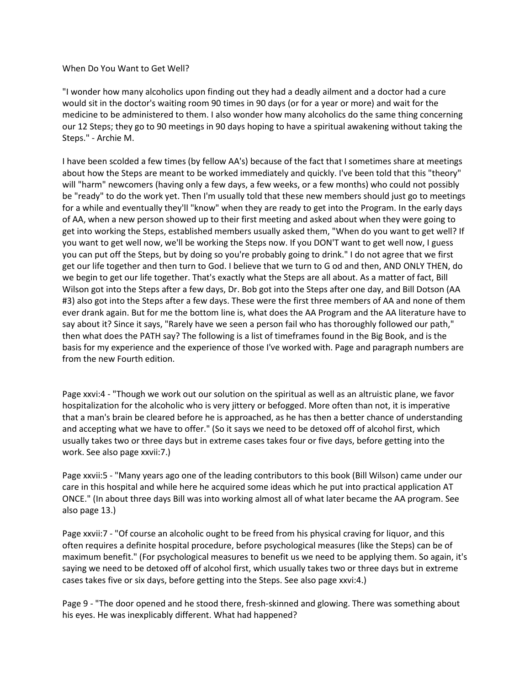When Do You Want to Get Well?

"I wonder how many alcoholics upon finding out they had a deadly ailment and a doctor had a cure would sit in the doctor's waiting room 90 times in 90 days (or for a year or more) and wait for the medicine to be administered to them. I also wonder how many alcoholics do the same thing concerning our 12 Steps; they go to 90 meetings in 90 days hoping to have a spiritual awakening without taking the Steps." - Archie M.

I have been scolded a few times (by fellow AA's) because of the fact that I sometimes share at meetings about how the Steps are meant to be worked immediately and quickly. I've been told that this "theory" will "harm" newcomers (having only a few days, a few weeks, or a few months) who could not possibly be "ready" to do the work yet. Then I'm usually told that these new members should just go to meetings for a while and eventually they'll "know" when they are ready to get into the Program. In the early days of AA, when a new person showed up to their first meeting and asked about when they were going to get into working the Steps, established members usually asked them, "When do you want to get well? If you want to get well now, we'll be working the Steps now. If you DON'T want to get well now, I guess you can put off the Steps, but by doing so you're probably going to drink." I do not agree that we first get our life together and then turn to God. I believe that we turn to G od and then, AND ONLY THEN, do we begin to get our life together. That's exactly what the Steps are all about. As a matter of fact, Bill Wilson got into the Steps after a few days, Dr. Bob got into the Steps after one day, and Bill Dotson (AA #3) also got into the Steps after a few days. These were the first three members of AA and none of them ever drank again. But for me the bottom line is, what does the AA Program and the AA literature have to say about it? Since it says, "Rarely have we seen a person fail who has thoroughly followed our path," then what does the PATH say? The following is a list of timeframes found in the Big Book, and is the basis for my experience and the experience of those I've worked with. Page and paragraph numbers are from the new Fourth edition.

Page xxvi:4 - "Though we work out our solution on the spiritual as well as an altruistic plane, we favor hospitalization for the alcoholic who is very jittery or befogged. More often than not, it is imperative that a man's brain be cleared before he is approached, as he has then a better chance of understanding and accepting what we have to offer." (So it says we need to be detoxed off of alcohol first, which usually takes two or three days but in extreme cases takes four or five days, before getting into the work. See also page xxvii:7.)

Page xxvii:5 - "Many years ago one of the leading contributors to this book (Bill Wilson) came under our care in this hospital and while here he acquired some ideas which he put into practical application AT ONCE." (In about three days Bill was into working almost all of what later became the AA program. See also page 13.)

Page xxvii:7 - "Of course an alcoholic ought to be freed from his physical craving for liquor, and this often requires a definite hospital procedure, before psychological measures (like the Steps) can be of maximum benefit." (For psychological measures to benefit us we need to be applying them. So again, it's saying we need to be detoxed off of alcohol first, which usually takes two or three days but in extreme cases takes five or six days, before getting into the Steps. See also page xxvi:4.)

Page 9 - "The door opened and he stood there, fresh-skinned and glowing. There was something about his eyes. He was inexplicably different. What had happened?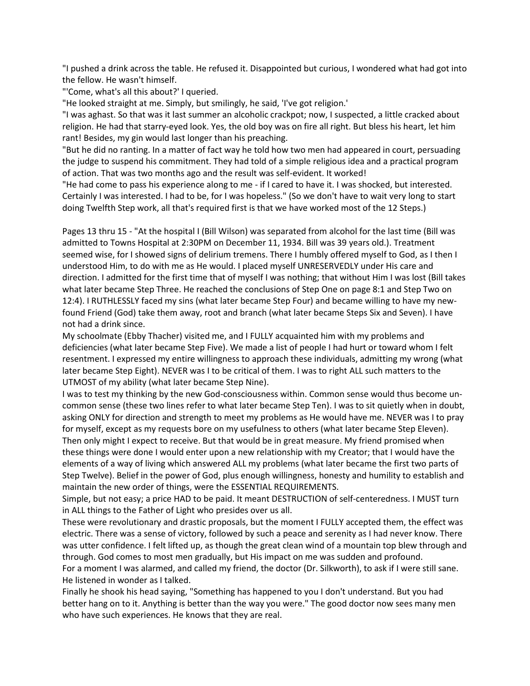"I pushed a drink across the table. He refused it. Disappointed but curious, I wondered what had got into the fellow. He wasn't himself.

"'Come, what's all this about?' I queried.

He listened in wonder as I talked.

"He looked straight at me. Simply, but smilingly, he said, 'I've got religion.'

"I was aghast. So that was it last summer an alcoholic crackpot; now, I suspected, a little cracked about religion. He had that starry-eyed look. Yes, the old boy was on fire all right. But bless his heart, let him rant! Besides, my gin would last longer than his preaching.

"But he did no ranting. In a matter of fact way he told how two men had appeared in court, persuading the judge to suspend his commitment. They had told of a simple religious idea and a practical program of action. That was two months ago and the result was self-evident. It worked!

"He had come to pass his experience along to me - if I cared to have it. I was shocked, but interested. Certainly I was interested. I had to be, for I was hopeless." (So we don't have to wait very long to start doing Twelfth Step work, all that's required first is that we have worked most of the 12 Steps.)

Pages 13 thru 15 - "At the hospital I (Bill Wilson) was separated from alcohol for the last time (Bill was admitted to Towns Hospital at 2:30PM on December 11, 1934. Bill was 39 years old.). Treatment seemed wise, for I showed signs of delirium tremens. There I humbly offered myself to God, as I then I understood Him, to do with me as He would. I placed myself UNRESERVEDLY under His care and direction. I admitted for the first time that of myself I was nothing; that without Him I was lost (Bill takes what later became Step Three. He reached the conclusions of Step One on page 8:1 and Step Two on 12:4). I RUTHLESSLY faced my sins (what later became Step Four) and became willing to have my newfound Friend (God) take them away, root and branch (what later became Steps Six and Seven). I have not had a drink since.

My schoolmate (Ebby Thacher) visited me, and I FULLY acquainted him with my problems and deficiencies (what later became Step Five). We made a list of people I had hurt or toward whom I felt resentment. I expressed my entire willingness to approach these individuals, admitting my wrong (what later became Step Eight). NEVER was I to be critical of them. I was to right ALL such matters to the UTMOST of my ability (what later became Step Nine).

I was to test my thinking by the new God-consciousness within. Common sense would thus become uncommon sense (these two lines refer to what later became Step Ten). I was to sit quietly when in doubt, asking ONLY for direction and strength to meet my problems as He would have me. NEVER was I to pray for myself, except as my requests bore on my usefulness to others (what later became Step Eleven). Then only might I expect to receive. But that would be in great measure. My friend promised when these things were done I would enter upon a new relationship with my Creator; that I would have the elements of a way of living which answered ALL my problems (what later became the first two parts of Step Twelve). Belief in the power of God, plus enough willingness, honesty and humility to establish and maintain the new order of things, were the ESSENTIAL REQUIREMENTS.

Simple, but not easy; a price HAD to be paid. It meant DESTRUCTION of self-centeredness. I MUST turn in ALL things to the Father of Light who presides over us all.

These were revolutionary and drastic proposals, but the moment I FULLY accepted them, the effect was electric. There was a sense of victory, followed by such a peace and serenity as I had never know. There was utter confidence. I felt lifted up, as though the great clean wind of a mountain top blew through and through. God comes to most men gradually, but His impact on me was sudden and profound. For a moment I was alarmed, and called my friend, the doctor (Dr. Silkworth), to ask if I were still sane.

Finally he shook his head saying, "Something has happened to you I don't understand. But you had better hang on to it. Anything is better than the way you were." The good doctor now sees many men who have such experiences. He knows that they are real.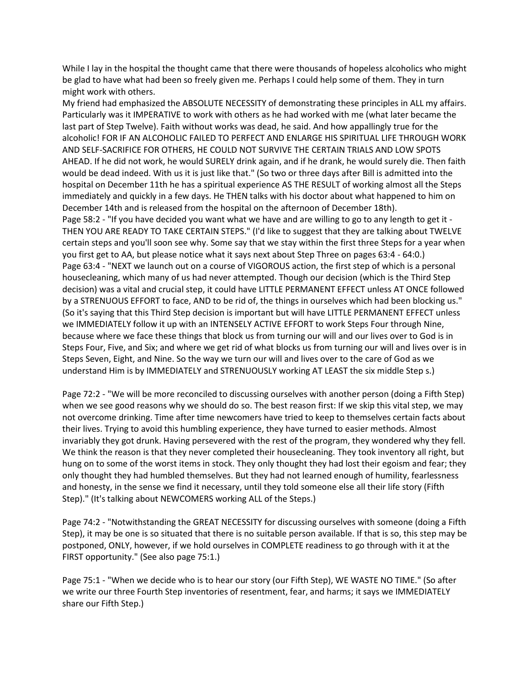While I lay in the hospital the thought came that there were thousands of hopeless alcoholics who might be glad to have what had been so freely given me. Perhaps I could help some of them. They in turn might work with others.

My friend had emphasized the ABSOLUTE NECESSITY of demonstrating these principles in ALL my affairs. Particularly was it IMPERATIVE to work with others as he had worked with me (what later became the last part of Step Twelve). Faith without works was dead, he said. And how appallingly true for the alcoholic! FOR IF AN ALCOHOLIC FAILED TO PERFECT AND ENLARGE HIS SPIRITUAL LIFE THROUGH WORK AND SELF-SACRIFICE FOR OTHERS, HE COULD NOT SURVIVE THE CERTAIN TRIALS AND LOW SPOTS AHEAD. If he did not work, he would SURELY drink again, and if he drank, he would surely die. Then faith would be dead indeed. With us it is just like that." (So two or three days after Bill is admitted into the hospital on December 11th he has a spiritual experience AS THE RESULT of working almost all the Steps immediately and quickly in a few days. He THEN talks with his doctor about what happened to him on December 14th and is released from the hospital on the afternoon of December 18th). Page 58:2 - "If you have decided you want what we have and are willing to go to any length to get it - THEN YOU ARE READY TO TAKE CERTAIN STEPS." (I'd like to suggest that they are talking about TWELVE certain steps and you'll soon see why. Some say that we stay within the first three Steps for a year when you first get to AA, but please notice what it says next about Step Three on pages 63:4 - 64:0.) Page 63:4 - "NEXT we launch out on a course of VIGOROUS action, the first step of which is a personal housecleaning, which many of us had never attempted. Though our decision (which is the Third Step decision) was a vital and crucial step, it could have LITTLE PERMANENT EFFECT unless AT ONCE followed by a STRENUOUS EFFORT to face, AND to be rid of, the things in ourselves which had been blocking us." (So it's saying that this Third Step decision is important but will have LITTLE PERMANENT EFFECT unless we IMMEDIATELY follow it up with an INTENSELY ACTIVE EFFORT to work Steps Four through Nine, because where we face these things that block us from turning our will and our lives over to God is in Steps Four, Five, and Six; and where we get rid of what blocks us from turning our will and lives over is in Steps Seven, Eight, and Nine. So the way we turn our will and lives over to the care of God as we understand Him is by IMMEDIATELY and STRENUOUSLY working AT LEAST the six middle Step s.)

Page 72:2 - "We will be more reconciled to discussing ourselves with another person (doing a Fifth Step) when we see good reasons why we should do so. The best reason first: If we skip this vital step, we may not overcome drinking. Time after time newcomers have tried to keep to themselves certain facts about their lives. Trying to avoid this humbling experience, they have turned to easier methods. Almost invariably they got drunk. Having persevered with the rest of the program, they wondered why they fell. We think the reason is that they never completed their housecleaning. They took inventory all right, but hung on to some of the worst items in stock. They only thought they had lost their egoism and fear; they only thought they had humbled themselves. But they had not learned enough of humility, fearlessness and honesty, in the sense we find it necessary, until they told someone else all their life story (Fifth Step)." (It's talking about NEWCOMERS working ALL of the Steps.)

Page 74:2 - "Notwithstanding the GREAT NECESSITY for discussing ourselves with someone (doing a Fifth Step), it may be one is so situated that there is no suitable person available. If that is so, this step may be postponed, ONLY, however, if we hold ourselves in COMPLETE readiness to go through with it at the FIRST opportunity." (See also page 75:1.)

Page 75:1 - "When we decide who is to hear our story (our Fifth Step), WE WASTE NO TIME." (So after we write our three Fourth Step inventories of resentment, fear, and harms; it says we IMMEDIATELY share our Fifth Step.)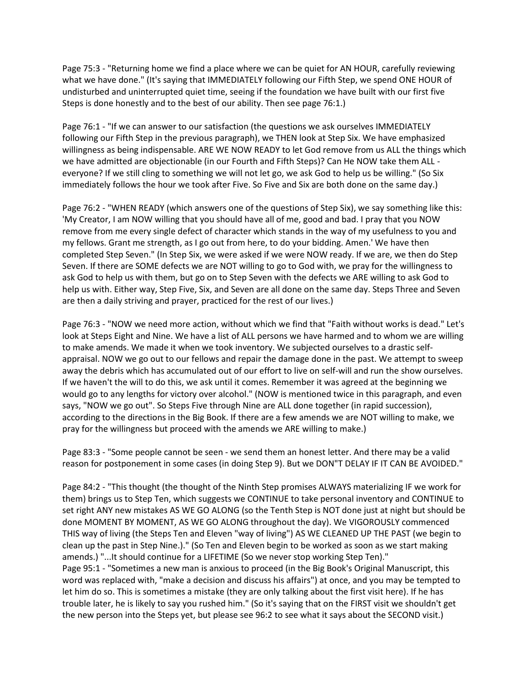Page 75:3 - "Returning home we find a place where we can be quiet for AN HOUR, carefully reviewing what we have done." (It's saying that IMMEDIATELY following our Fifth Step, we spend ONE HOUR of undisturbed and uninterrupted quiet time, seeing if the foundation we have built with our first five Steps is done honestly and to the best of our ability. Then see page 76:1.)

Page 76:1 - "If we can answer to our satisfaction (the questions we ask ourselves IMMEDIATELY following our Fifth Step in the previous paragraph), we THEN look at Step Six. We have emphasized willingness as being indispensable. ARE WE NOW READY to let God remove from us ALL the things which we have admitted are objectionable (in our Fourth and Fifth Steps)? Can He NOW take them ALL everyone? If we still cling to something we will not let go, we ask God to help us be willing." (So Six immediately follows the hour we took after Five. So Five and Six are both done on the same day.)

Page 76:2 - "WHEN READY (which answers one of the questions of Step Six), we say something like this: 'My Creator, I am NOW willing that you should have all of me, good and bad. I pray that you NOW remove from me every single defect of character which stands in the way of my usefulness to you and my fellows. Grant me strength, as I go out from here, to do your bidding. Amen.' We have then completed Step Seven." (In Step Six, we were asked if we were NOW ready. If we are, we then do Step Seven. If there are SOME defects we are NOT willing to go to God with, we pray for the willingness to ask God to help us with them, but go on to Step Seven with the defects we ARE willing to ask God to help us with. Either way, Step Five, Six, and Seven are all done on the same day. Steps Three and Seven are then a daily striving and prayer, practiced for the rest of our lives.)

Page 76:3 - "NOW we need more action, without which we find that "Faith without works is dead." Let's look at Steps Eight and Nine. We have a list of ALL persons we have harmed and to whom we are willing to make amends. We made it when we took inventory. We subjected ourselves to a drastic selfappraisal. NOW we go out to our fellows and repair the damage done in the past. We attempt to sweep away the debris which has accumulated out of our effort to live on self-will and run the show ourselves. If we haven't the will to do this, we ask until it comes. Remember it was agreed at the beginning we would go to any lengths for victory over alcohol." (NOW is mentioned twice in this paragraph, and even says, "NOW we go out". So Steps Five through Nine are ALL done together (in rapid succession), according to the directions in the Big Book. If there are a few amends we are NOT willing to make, we pray for the willingness but proceed with the amends we ARE willing to make.)

Page 83:3 - "Some people cannot be seen - we send them an honest letter. And there may be a valid reason for postponement in some cases (in doing Step 9). But we DON"T DELAY IF IT CAN BE AVOIDED."

Page 84:2 - "This thought (the thought of the Ninth Step promises ALWAYS materializing IF we work for them) brings us to Step Ten, which suggests we CONTINUE to take personal inventory and CONTINUE to set right ANY new mistakes AS WE GO ALONG (so the Tenth Step is NOT done just at night but should be done MOMENT BY MOMENT, AS WE GO ALONG throughout the day). We VIGOROUSLY commenced THIS way of living (the Steps Ten and Eleven "way of living") AS WE CLEANED UP THE PAST (we begin to clean up the past in Step Nine.)." (So Ten and Eleven begin to be worked as soon as we start making amends.) "...It should continue for a LIFETIME (So we never stop working Step Ten)." Page 95:1 - "Sometimes a new man is anxious to proceed (in the Big Book's Original Manuscript, this word was replaced with, "make a decision and discuss his affairs") at once, and you may be tempted to let him do so. This is sometimes a mistake (they are only talking about the first visit here). If he has trouble later, he is likely to say you rushed him." (So it's saying that on the FIRST visit we shouldn't get the new person into the Steps yet, but please see 96:2 to see what it says about the SECOND visit.)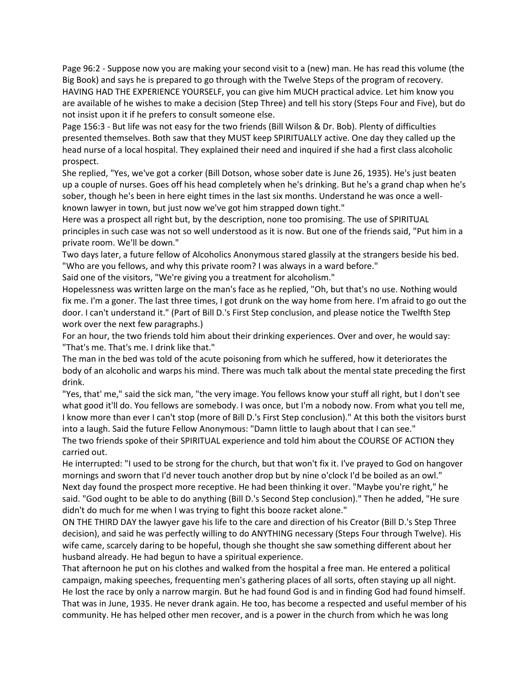Page 96:2 - Suppose now you are making your second visit to a (new) man. He has read this volume (the Big Book) and says he is prepared to go through with the Twelve Steps of the program of recovery. HAVING HAD THE EXPERIENCE YOURSELF, you can give him MUCH practical advice. Let him know you are available of he wishes to make a decision (Step Three) and tell his story (Steps Four and Five), but do not insist upon it if he prefers to consult someone else.

Page 156:3 - But life was not easy for the two friends (Bill Wilson & Dr. Bob). Plenty of difficulties presented themselves. Both saw that they MUST keep SPIRITUALLY active. One day they called up the head nurse of a local hospital. They explained their need and inquired if she had a first class alcoholic prospect.

She replied, "Yes, we've got a corker (Bill Dotson, whose sober date is June 26, 1935). He's just beaten up a couple of nurses. Goes off his head completely when he's drinking. But he's a grand chap when he's sober, though he's been in here eight times in the last six months. Understand he was once a wellknown lawyer in town, but just now we've got him strapped down tight."

Here was a prospect all right but, by the description, none too promising. The use of SPIRITUAL principles in such case was not so well understood as it is now. But one of the friends said, "Put him in a private room. We'll be down."

Two days later, a future fellow of Alcoholics Anonymous stared glassily at the strangers beside his bed. "Who are you fellows, and why this private room? I was always in a ward before."

Said one of the visitors, "We're giving you a treatment for alcoholism."

Hopelessness was written large on the man's face as he replied, "Oh, but that's no use. Nothing would fix me. I'm a goner. The last three times, I got drunk on the way home from here. I'm afraid to go out the door. I can't understand it." (Part of Bill D.'s First Step conclusion, and please notice the Twelfth Step work over the next few paragraphs.)

For an hour, the two friends told him about their drinking experiences. Over and over, he would say: "That's me. That's me. I drink like that."

The man in the bed was told of the acute poisoning from which he suffered, how it deteriorates the body of an alcoholic and warps his mind. There was much talk about the mental state preceding the first drink.

"Yes, that' me," said the sick man, "the very image. You fellows know your stuff all right, but I don't see what good it'll do. You fellows are somebody. I was once, but I'm a nobody now. From what you tell me, I know more than ever I can't stop (more of Bill D.'s First Step conclusion)." At this both the visitors burst into a laugh. Said the future Fellow Anonymous: "Damn little to laugh about that I can see." The two friends spoke of their SPIRITUAL experience and told him about the COURSE OF ACTION they carried out.

He interrupted: "I used to be strong for the church, but that won't fix it. I've prayed to God on hangover mornings and sworn that I'd never touch another drop but by nine o'clock I'd be boiled as an owl." Next day found the prospect more receptive. He had been thinking it over. "Maybe you're right," he said. "God ought to be able to do anything (Bill D.'s Second Step conclusion)." Then he added, "He sure didn't do much for me when I was trying to fight this booze racket alone."

ON THE THIRD DAY the lawyer gave his life to the care and direction of his Creator (Bill D.'s Step Three decision), and said he was perfectly willing to do ANYTHING necessary (Steps Four through Twelve). His wife came, scarcely daring to be hopeful, though she thought she saw something different about her husband already. He had begun to have a spiritual experience.

That afternoon he put on his clothes and walked from the hospital a free man. He entered a political campaign, making speeches, frequenting men's gathering places of all sorts, often staying up all night. He lost the race by only a narrow margin. But he had found God is and in finding God had found himself. That was in June, 1935. He never drank again. He too, has become a respected and useful member of his community. He has helped other men recover, and is a power in the church from which he was long